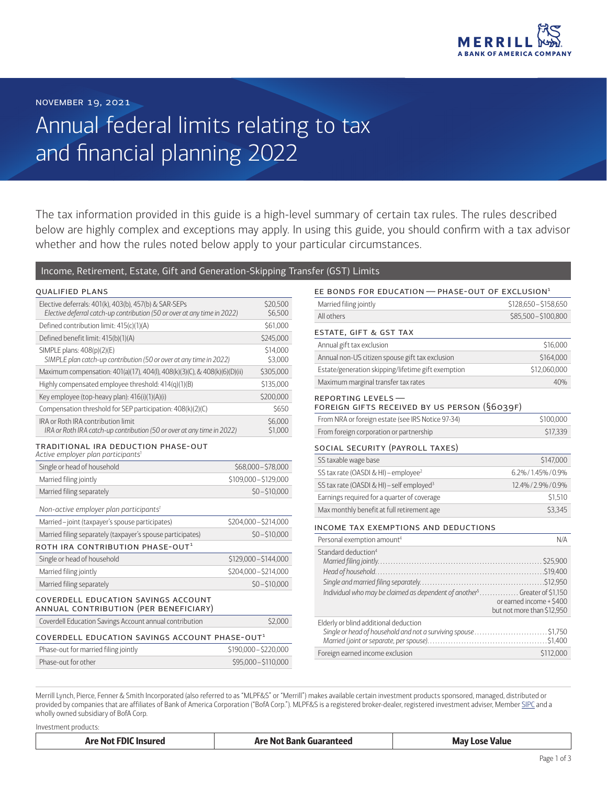

# Annual federal limits relating to tax and financial planning 2022

The tax information provided in this guide is a high-level summary of certain tax rules. The rules described below are highly complex and exceptions may apply. In using this guide, you should confirm with a tax advisor whether and how the rules noted below apply to your particular circumstances.

## Income, Retirement, Estate, Gift and Generation-Skipping Transfer (GST) Limits

| <b>QUALIFIED PLANS</b>                                                                                                            |                     |
|-----------------------------------------------------------------------------------------------------------------------------------|---------------------|
| Elective deferrals: 401(k), 403(b), 457(b) & SAR-SEPs<br>Elective deferral catch-up contribution (50 or over at any time in 2022) | \$20,500<br>\$6.500 |
| Defined contribution limit: 415(c)(1)(A)                                                                                          | \$61,000            |
| Defined benefit limit: 415(b)(1)(A)                                                                                               | \$245,000           |
| SIMPLE plans: 408(p)(2)(E)<br>SIMPLE plan catch-up contribution (50 or over at any time in 2022)                                  | \$14,000<br>\$3,000 |
| Maximum compensation: 401(a)(17), 404(l), 408(k)(3)(C), & 408(k)(6)(D)(ii)                                                        | \$305,000           |
| Highly compensated employee threshold: 414(q)(1)(B)                                                                               | \$135,000           |
| Key employee (top-heavy plan): 416(i)(1)(A)(i)                                                                                    | \$200,000           |
| Compensation threshold for SEP participation: 408(k)(2)(C)                                                                        | \$650               |
| IRA or Roth IRA contribution limit<br>IRA or Roth IRA catch-up contribution (50 or over at any time in 2022)                      | \$6,000<br>\$1,000  |

#### traditional ira deduction phase-out

| Active employer plan participants <sup>1</sup>                               |                       |
|------------------------------------------------------------------------------|-----------------------|
| Single or head of household                                                  | \$68,000-\$78,000     |
| Married filing jointly                                                       | \$109,000 - \$129,000 |
| Married filing separately                                                    | $$0 - $10,000$        |
| Non-active employer plan participants <sup>1</sup>                           |                       |
| Married-joint (taxpayer's spouse participates)                               | \$204,000 - \$214,000 |
| Married filing separately (taxpayer's spouse participates)                   | $$0 - $10,000$        |
| ROTH IRA CONTRIBUTION PHASE-OUT $^{\rm 1}$                                   |                       |
| Single or head of household                                                  | \$129,000 - \$144,000 |
| Married filing jointly                                                       | \$204,000 - \$214,000 |
| Married filing separately                                                    | $$0 - $10,000$        |
| COVERDELL EDUCATION SAVINGS ACCOUNT<br>ANNUAL CONTRIBUTION (PER BENEFICIARY) |                       |
| Coverdell Education Savings Account annual contribution                      | \$2,000               |
| COVERDELL EDUCATION SAVINGS ACCOUNT PHASE-OUT1                               |                       |
| Phase-out for married filing jointly                                         | \$190,000 - \$220,000 |
| Phase-out for other                                                          | \$95,000 - \$110,000  |

# EE BONDS FOR EDUCATION  $-$  PHASE-OUT OF EXCLUSION<sup>1</sup>

| Married filing jointly                                                                                                   | \$128,650 - \$158,650                                  |
|--------------------------------------------------------------------------------------------------------------------------|--------------------------------------------------------|
| All others                                                                                                               | \$85,500-\$100,800                                     |
| ESTATE, GIFT & GST TAX                                                                                                   |                                                        |
| Annual gift tax exclusion                                                                                                | \$16,000                                               |
| Annual non-US citizen spouse gift tax exclusion                                                                          | \$164,000                                              |
| Estate/generation skipping/lifetime gift exemption                                                                       | \$12,060,000                                           |
| Maximum marginal transfer tax rates                                                                                      | 40%                                                    |
| REPORTING LEVELS-<br>FOREIGN GIFTS RECEIVED BY US PERSON (§6039F)                                                        |                                                        |
| From NRA or foreign estate (see IRS Notice 97-34)                                                                        | \$100,000                                              |
| From foreign corporation or partnership                                                                                  | \$17,339                                               |
| SOCIAL SECURITY (PAYROLL TAXES)                                                                                          |                                                        |
| SS taxable wage base                                                                                                     | \$147,000                                              |
| SS tax rate (OASDI & HI) - employee <sup>2</sup>                                                                         | 6.2%/1.45%/0.9%                                        |
| SS tax rate (OASDI & HI) - self employed <sup>3</sup>                                                                    | 12.4%/2.9%/0.9%                                        |
| Earnings required for a quarter of coverage                                                                              | \$1,510                                                |
| Max monthly benefit at full retirement age                                                                               | \$3,345                                                |
| INCOME TAX EXEMPTIONS AND DEDUCTIONS                                                                                     |                                                        |
| Personal exemption amount <sup>4</sup>                                                                                   | N/A                                                    |
| Standard deduction <sup>4</sup><br>Individual who may be claimed as dependent of another <sup>5</sup> Greater of \$1,150 | or earned income + \$400<br>but not more than \$12,950 |
| Elderly or blind additional deduction<br>Single or head of household and not a surviving spouse\$1,750                   |                                                        |
| Foreign earned income exclusion                                                                                          | \$112,000                                              |
|                                                                                                                          |                                                        |

Merrill Lynch, Pierce, Fenner & Smith Incorporated (also referred to as "MLPF&S" or "Merrill") makes available certain investment products sponsored, managed, distributed or provided by companies that are affiliates of Bank of America Corporation ("BofA Corp."). MLPF&S is a registered broker-dealer, registered investment adviser, Member [SIPC](https://www.sipc.org/) and a wholly owned subsidiary of BofA Corp.

Investment products:

| <b>Are Not FDIC Insured</b> | Are Not Bank Guaranteed | Mav<br>' ose Value |
|-----------------------------|-------------------------|--------------------|
|                             |                         |                    |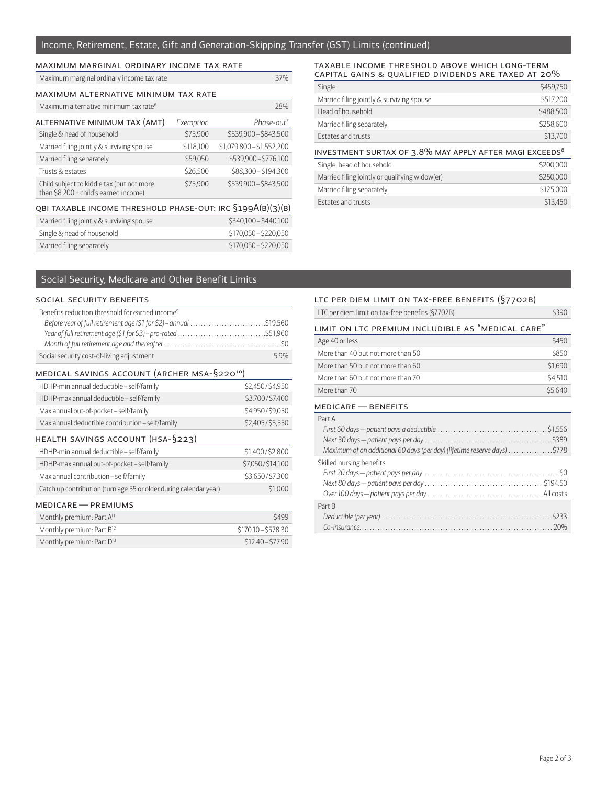## Income, Retirement, Estate, Gift and Generation-Skipping Transfer (GST) Limits (continued)

| MAXIMUM MARGINAL ORDINARY INCOME TAX RATE                                          |           |                           |
|------------------------------------------------------------------------------------|-----------|---------------------------|
| Maximum marginal ordinary income tax rate                                          |           | 37%                       |
| MAXIMUM ALTERNATIVE MINIMUM TAX RATE                                               |           |                           |
| Maximum alternative minimum tax rate <sup>6</sup>                                  |           | 28%                       |
| ALTERNATIVE MINIMUM TAX (AMT)                                                      | Exemption | Phase-out <sup>7</sup>    |
| Single & head of household                                                         | \$75,900  | \$539,900 - \$843,500     |
| Married filing jointly & surviving spouse                                          | \$118,100 | $$1,079,800 - $1,552,200$ |
| Married filing separately                                                          | \$59,050  | \$539,900-\$776,100       |
| Trusts & estates                                                                   | \$26,500  | \$88,300 - \$194,300      |
| Child subject to kiddie tax (but not more<br>than \$8,200 + child's earned income) | \$75,900  | \$539,900 - \$843,500     |
| QBI TAXABLE INCOME THRESHOLD PHASE-OUT: IRC §199A(B)(3)(B)                         |           |                           |
| Married filing jointly & surviving spouse                                          |           | \$340,100 - \$440,100     |
| Single & head of household                                                         |           | \$170,050 - \$220,050     |
| Married filing separately                                                          |           | \$170,050 - \$220,050     |

#### taxable income threshold above which long-term <code>CAPITAL</code> GAINS & QUALIFIED DIVIDENDS ARE TAXED AT 20 $\%$

| Single                                    | \$459,750 |
|-------------------------------------------|-----------|
| Married filing jointly & surviving spouse | \$517,200 |
| Head of household                         | \$488,500 |
| Married filing separately                 | \$258,600 |
| <b>Estates and trusts</b>                 | \$13,700  |
|                                           |           |

| INVESTMENT SURTAX OF 3. $8\%$ MAY APPLY AFTER MAGI EXCEEDS $^8$ |           |
|-----------------------------------------------------------------|-----------|
| Single, head of household                                       | \$200,000 |
| Married filing jointly or qualifying widow(er)                  | \$250,000 |
| Married filing separately                                       | \$125,000 |
| Estates and trusts                                              | \$13,450  |

# Social Security, Medicare and Other Benefit Limits

### social security benefits

| Benefits reduction threshold for earned income <sup>9</sup>       |                     |
|-------------------------------------------------------------------|---------------------|
|                                                                   |                     |
|                                                                   |                     |
|                                                                   |                     |
| Social security cost-of-living adjustment                         | 5.9%                |
| MEDICAL SAVINGS ACCOUNT (ARCHER MSA-§220 <sup>10</sup> )          |                     |
| HDHP-min annual deductible - self/family                          | \$2,450/\$4,950     |
| HDHP-max annual deductible - self/family                          | \$3,700/\$7,400     |
| Max annual out-of-pocket-self/family                              | \$4,950/\$9,050     |
| Max annual deductible contribution - self/family                  | \$2,405/\$5,550     |
| HEALTH SAVINGS ACCOUNT (HSA-§223)                                 |                     |
| HDHP-min annual deductible-self/family                            | \$1,400/\$2,800     |
| HDHP-max annual out-of-pocket-self/family                         | \$7,050/\$14,100    |
| Max annual contribution - self/family                             | \$3,650/\$7,300     |
| Catch up contribution (turn age 55 or older during calendar year) | \$1,000             |
| MEDICARE - PREMIUMS                                               |                     |
| Monthly premium: Part A <sup>11</sup>                             | \$499               |
| Monthly premium: Part B <sup>12</sup>                             | \$170.10 - \$578.30 |
| Monthly premium: Part D <sup>13</sup>                             | \$12.40 - \$77.90   |

## ltc per diem limit on tax-free benefits (§7702b)

| LTC per diem limit on tax-free benefits (§7702B)                         | \$390   |
|--------------------------------------------------------------------------|---------|
| LIMIT ON LTC PREMIUM INCLUDIBLE AS "MEDICAL CARE"                        |         |
| Age 40 or less                                                           | \$450   |
| More than 40 but not more than 50                                        | \$850   |
| More than 50 but not more than 60                                        | \$1,690 |
| More than 60 but not more than 70                                        | \$4,510 |
| More than 70                                                             | \$5,640 |
| MEDICARE - BENEFITS                                                      |         |
| Part A                                                                   |         |
|                                                                          |         |
|                                                                          |         |
| Maximum of an additional 60 days (per day) (lifetime reserve days) \$778 |         |
| Skilled nursing benefits                                                 |         |
|                                                                          |         |
|                                                                          |         |
|                                                                          |         |
| Part B                                                                   |         |
|                                                                          |         |
|                                                                          |         |
|                                                                          |         |